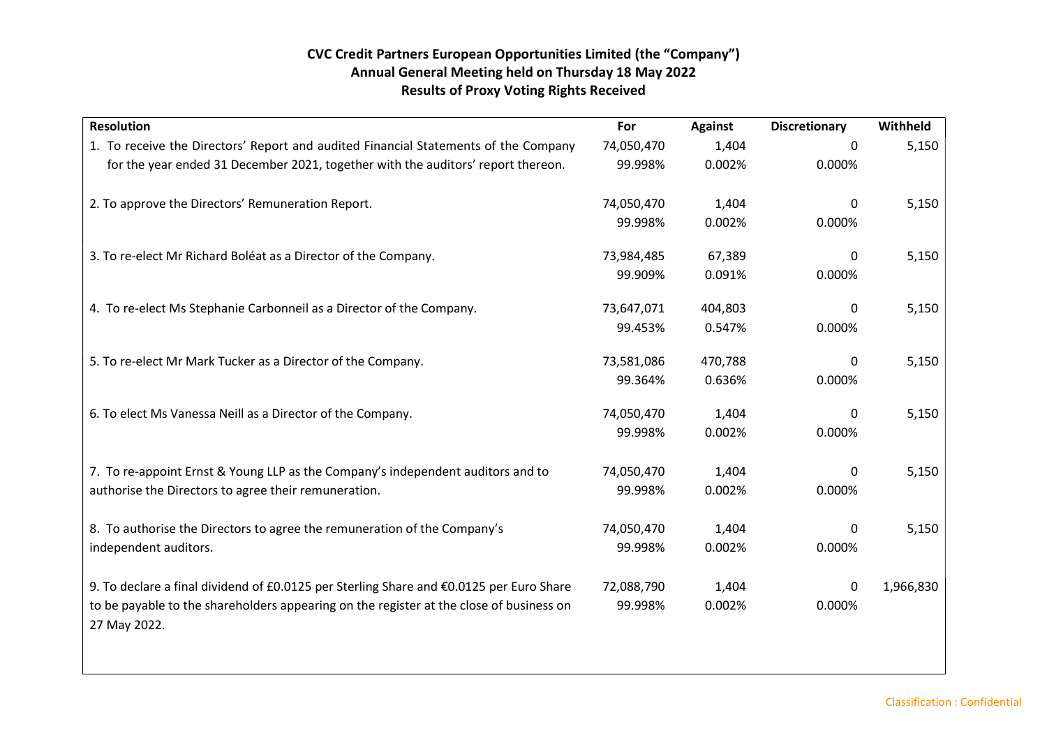## CVC Credit Partners European Opportunities Limited (the "Company") Annual General Meeting held on Thursday 18 May 2022 Results of Proxy Voting Rights Received

| <b>Resolution</b>                                                                                       | For        | <b>Against</b> | <b>Discretionary</b> | Withheld  |
|---------------------------------------------------------------------------------------------------------|------------|----------------|----------------------|-----------|
| 1. To receive the Directors' Report and audited Financial Statements of the Company                     | 74,050,470 | 1,404          | $\Omega$             | 5,150     |
| for the year ended 31 December 2021, together with the auditors' report thereon.                        | 99.998%    | 0.002%         | 0.000%               |           |
| 2. To approve the Directors' Remuneration Report.                                                       | 74,050,470 | 1,404          | 0                    | 5,150     |
|                                                                                                         | 99.998%    | 0.002%         | 0.000%               |           |
| 3. To re-elect Mr Richard Boléat as a Director of the Company.                                          | 73,984,485 | 67,389         | $\Omega$             | 5,150     |
|                                                                                                         | 99.909%    | 0.091%         | 0.000%               |           |
| 4. To re-elect Ms Stephanie Carbonneil as a Director of the Company.                                    | 73,647,071 | 404,803        | $\mathbf{0}$         | 5,150     |
|                                                                                                         | 99.453%    | 0.547%         | 0.000%               |           |
| 5. To re-elect Mr Mark Tucker as a Director of the Company.                                             | 73,581,086 | 470,788        | 0                    | 5,150     |
|                                                                                                         | 99.364%    | 0.636%         | 0.000%               |           |
| 6. To elect Ms Vanessa Neill as a Director of the Company.                                              | 74,050,470 | 1,404          | $\Omega$             | 5,150     |
|                                                                                                         | 99.998%    | 0.002%         | 0.000%               |           |
| 7. To re-appoint Ernst & Young LLP as the Company's independent auditors and to                         | 74,050,470 | 1,404          | 0                    | 5,150     |
| authorise the Directors to agree their remuneration.                                                    | 99.998%    | 0.002%         | 0.000%               |           |
| 8. To authorise the Directors to agree the remuneration of the Company's                                | 74,050,470 | 1,404          | $\Omega$             | 5,150     |
| independent auditors.                                                                                   | 99.998%    | 0.002%         | 0.000%               |           |
| 9. To declare a final dividend of £0.0125 per Sterling Share and €0.0125 per Euro Share                 | 72,088,790 | 1,404          | $\Omega$             | 1,966,830 |
| to be payable to the shareholders appearing on the register at the close of business on<br>27 May 2022. | 99.998%    | 0.002%         | 0.000%               |           |